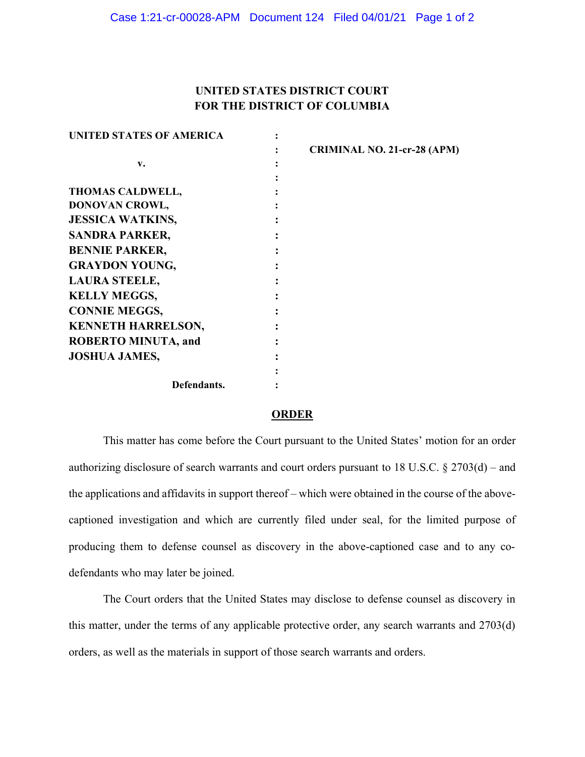## UNITED STATES DISTRICT COURT FOR THE DISTRICT OF COLUMBIA

| <b>UNITED STATES OF AMERICA</b> |                                    |
|---------------------------------|------------------------------------|
|                                 | <b>CRIMINAL NO. 21-cr-28 (APM)</b> |
| $\mathbf{v}$ .                  |                                    |
|                                 |                                    |
| THOMAS CALDWELL,                |                                    |
| DONOVAN CROWL,                  |                                    |
| <b>JESSICA WATKINS,</b>         |                                    |
| <b>SANDRA PARKER,</b>           |                                    |
| <b>BENNIE PARKER,</b>           |                                    |
| <b>GRAYDON YOUNG,</b>           |                                    |
| <b>LAURA STEELE,</b>            |                                    |
| <b>KELLY MEGGS,</b>             |                                    |
| <b>CONNIE MEGGS,</b>            |                                    |
| <b>KENNETH HARRELSON,</b>       |                                    |
| <b>ROBERTO MINUTA, and</b>      |                                    |
| <b>JOSHUA JAMES,</b>            |                                    |
|                                 |                                    |
| Defendants.                     |                                    |

## **ORDER**

This matter has come before the Court pursuant to the United States' motion for an order authorizing disclosure of search warrants and court orders pursuant to 18 U.S.C.  $\S 2703(d)$  – and the applications and affidavits in support thereof  $-$  which were obtained in the course of the abovecaptioned investigation and which are currently filed under seal, for the limited purpose of producing them to defense counsel as discovery in the above-captioned case and to any codefendants who may later be joined.

The Court orders that the United States may disclose to defense counsel as discovery in this matter, under the terms of any applicable protective order, any search warrants and 2703(d) orders, as well as the materials in support of those search warrants and orders.